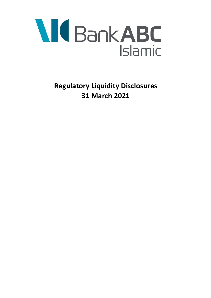

**Regulatory Liquidity Disclosures 31 March 2021**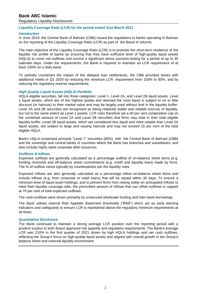# **Bank ABC Islamic**

Regulatory Liquidity Disclosures

### **Liquidity Coverage Ratio (LCR) for the period ended 31st March 2021**

### *Introduction*

In June 2019, the Central Bank of Bahrain (CBB) issued the regulations to banks operating in Bahrain on the reporting of the Liquidity Coverage Ratio (LCR) as part of the Basel III reforms.

The main objective of the Liquidity Coverage Ratio (LCR) is to promote the short-term resilience of the liquidity risk profile of banks by ensuring that they have sufficient level of high-quality liquid assets (HQLA) to cover net outflows and survive a significant stress scenario lasting for a period of up to 30 calendar days. Under the requirements, the Bank is required to maintain an LCR requirement of at least 100% on a daily basis.

To partially counteract the impact of the delayed loan settlements, the CBB provided banks with additional reliefs in Q1 2020 by reducing the minimum LCR requirement from 100% to 80%, and by reducing the regulatory reserve requirements.

### *High Quality Liquid Assets (HQLA) Portfolio*

HQLA eligible securities, fall into three categories: Level 1, Level 2A, and Level 2B liquid assets. Level 1 liquid assets, which are of the highest quality and deemed the most liquid is subject to no or little discount (or haircuts) to their market value and may be largely used without limit in the liquidity buffer. Level 2A and 2B securities are recognised as being relatively stable and reliable sources of liquidity, but not to the same extent as Level 1 assets. LCR rules therefore set a 40 per cent composition cap on the combined amount of Level 2A and Level 2B securities that firms may hold in their total eligible liquidity buffer. Level 2B liquid assets, which are considered less liquid and more volatile than Level 2A liquid assets, are subject to large and varying haircuts and may not exceed 15 per cent of the total eligible HQLA.

Bank's HQLA comprised primarily "Level 1" securities (85%) with the Central Bank of Bahrain (CBB) and the sovereign and central banks of countries where the Bank has branches and subsidiaries, and also include highly rated corporate debt issuances.

### *Outflows & Inflows*

Expected outflows are generally calculated as a percentage outflow of on-balance sheet items (e.g. funding received) and off-balance sheet commitments (e.g. credit and liquidity lines) made by firms. The % of outflow varies typically by counterparties per the liquidity rules.

Expected inflows are also generally calculated as a percentage inflow on-balance sheet items and include inflows (e.g. from corporate or retail loans) that will be repaid within 30 days. To ensure a minimum level of liquid asset holdings, and to prevent firms from relying solely on anticipated inflows to meet their liquidity coverage ratio, the prescribed amount of inflows that can offset outflows is capped at 75 per cent of total expected outflows.

The cash-outflows were driven primarily by unsecured wholesale funding and inter-bank borrowings.

The Bank utilises internal Risk Appetite Statement thresholds ("RAS") which act as early warning indicators and safeguards to ensure LCR is maintained above the regulatory minimum requirements at all times.

### *Quantitative Disclosure*

The Bank continued to maintain a strong average LCR position over the reporting period with a prudent surplus to both Board approved risk appetite and regulatory requirements. The Bank's average LCR was 210% in the first quarter of 2021 driven by high HQLA holdings and net cash outflows, reflecting the Group's focus on high-quality liquid assets and aligned with overall growth in the Group's balance sheet and external liquidity environment.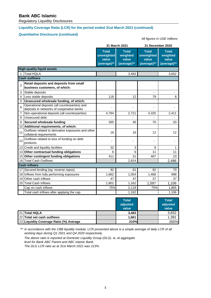# **Bank ABC Islamic**

Regulatory Liquidity Disclosures

## **Liquidity Coverage Ratio (LCR) for the period ended 31st March 2021 (continued)**

# *Quantitative Disclosure (continued)*

*All figures in US\$ 'millions*

|                      |                                                                                            |                                                    | 31 March 2021                                    | 31 December 2020                                   |                                                  |  |  |  |  |  |
|----------------------|--------------------------------------------------------------------------------------------|----------------------------------------------------|--------------------------------------------------|----------------------------------------------------|--------------------------------------------------|--|--|--|--|--|
|                      |                                                                                            | <b>Total</b><br>unweighted<br>value<br>(average)** | <b>Total</b><br>weighted<br>value<br>(average)** | <b>Total</b><br>unweighted<br>value<br>(average)** | <b>Total</b><br>weighted<br>value<br>(average)** |  |  |  |  |  |
|                      | <b>High-quality liquid assets</b>                                                          |                                                    |                                                  |                                                    |                                                  |  |  |  |  |  |
| 1                    | <b>Total HQLA</b><br>3,483<br>3,652                                                        |                                                    |                                                  |                                                    |                                                  |  |  |  |  |  |
| <b>Cash outflows</b> |                                                                                            |                                                    |                                                  |                                                    |                                                  |  |  |  |  |  |
| $\overline{2}$       | Retail deposits and deposits from small<br>business customers, of which:                   |                                                    |                                                  |                                                    |                                                  |  |  |  |  |  |
| 3                    | Stable deposits                                                                            |                                                    |                                                  |                                                    |                                                  |  |  |  |  |  |
| $\overline{4}$       | Less stable deposits                                                                       | 118                                                | 12                                               | 79                                                 | 8                                                |  |  |  |  |  |
| 5                    | Unsecured wholesale funding, of which:                                                     |                                                    |                                                  |                                                    |                                                  |  |  |  |  |  |
| 6                    | Operational deposits (all counterparties) and<br>deposits in networks of cooperative banks |                                                    | ä,                                               | ÷,                                                 |                                                  |  |  |  |  |  |
| $\overline{7}$       | Non-operational deposits (all counterparties)                                              | 4,784                                              | 2,721                                            | 4,325                                              | 2,411                                            |  |  |  |  |  |
| 8                    | Unsecured debt                                                                             |                                                    |                                                  | ä,                                                 |                                                  |  |  |  |  |  |
| 9                    | Secured wholesale funding                                                                  | 265                                                | 45                                               | 70                                                 | 20                                               |  |  |  |  |  |
| 10                   | Additional requirements, of which:                                                         |                                                    |                                                  |                                                    |                                                  |  |  |  |  |  |
| 11                   | Outflows related to derivative exposures and other<br>collateral requirements              | 16                                                 | 16                                               | 12                                                 | 12                                               |  |  |  |  |  |
| 12                   | Outflows related to loss of funding on debt<br>products                                    |                                                    | -                                                | $\blacksquare$                                     |                                                  |  |  |  |  |  |
|                      | 13 Credit and liquidity facilities                                                         | 32                                                 | 3                                                | 8                                                  | 1                                                |  |  |  |  |  |
| 14                   | Other contractual funding obligations                                                      | 6                                                  | 6                                                | 11                                                 | 11                                               |  |  |  |  |  |
|                      | 15 Other contingent funding obligations                                                    | 411                                                | 21                                               | 467                                                | 23                                               |  |  |  |  |  |
|                      | 16 Total Cash Outflows                                                                     |                                                    | 2,824                                            |                                                    | 2,486                                            |  |  |  |  |  |
|                      | <b>Cash inflows</b>                                                                        |                                                    |                                                  |                                                    |                                                  |  |  |  |  |  |
| 17                   | Secured lending (eg. reverse repos)                                                        | 92                                                 | 61                                               | 92                                                 | 70                                               |  |  |  |  |  |
|                      | 18 Inflows from fully performing exposures                                                 | 1,662                                              | 1,054                                            | 1,468                                              | 998                                              |  |  |  |  |  |
|                      | 19 Other cash inflows                                                                      | 47                                                 | 47                                               | 37                                                 | 37                                               |  |  |  |  |  |
|                      | 20 Total Cash Inflows                                                                      | 1,801                                              | 1,162                                            | 1,597                                              | 1,106                                            |  |  |  |  |  |
|                      | Cap on cash inflows                                                                        | 75%                                                | 2,118                                            | 75%                                                | 1,865                                            |  |  |  |  |  |
|                      | Total cash inflows after applying the cap                                                  |                                                    | 1,162                                            |                                                    | 1,106                                            |  |  |  |  |  |

|                                         | <b>Total</b><br>adjusted<br>value | <b>Total</b><br>adjusted<br>value |       |
|-----------------------------------------|-----------------------------------|-----------------------------------|-------|
| 21 Total HQLA                           |                                   | 3,483                             | 3,652 |
| 22 Total net cash outflows              |                                   | 1,661                             | 1,381 |
| 23 Liquidity Coverage Ratio (%) Average |                                   | 210%                              | 265%  |

\*\* *In accordance with the CBB liquidity module, LCR presented above is a simple average of daily LCR of all working days during Q1 2021 and Q4 2020 respectively.*

*The above ratio is reported at Domestic Liquidity Group (DLG). ie, at aggregate level for Bank ABC Parent and ABC Islamic Bank. The DLG LCR ratio as at 31st March 2021 was 213%.*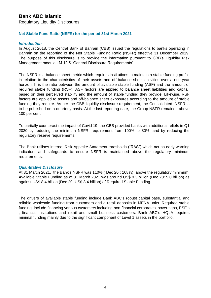# **Net Stable Fund Ratio (NSFR) for the period 31st March 2021**

## *Introduction*

In August 2018, the Central Bank of Bahrain (CBB) issued the regulations to banks operating in Bahrain on the reporting of the Net Stable Funding Ratio (NSFR) effective 31 December 2019. The purpose of this disclosure is to provide the information pursuant to CBB's Liquidity Risk Management module LM 12.5 "General Disclosure Requirements".

The NSFR is a balance sheet metric which requires institutions to maintain a stable funding profile in relation to the characteristics of their assets and off-balance sheet activities over a one-year horizon. It is the ratio between the amount of available stable funding (ASF) and the amount of required stable funding (RSF). ASF factors are applied to balance sheet liabilities and capital, based on their perceived stability and the amount of stable funding they provide. Likewise, RSF factors are applied to assets and off-balance sheet exposures according to the amount of stable funding they require. As per the CBB liquidity disclosure requirement, the Consolidated NSFR is to be published on a quarterly basis. At the last reporting date, the Group NSFR remained above 100 per cent.

To partially counteract the impact of Covid 19, the CBB provided banks with additional reliefs in Q1 2020 by reducing the minimum NSFR requirement from 100% to 80%, and by reducing the regulatory reserve requirements.

The Bank utilises internal Risk Appetite Statement thresholds ("RAS") which act as early warning indicators and safeguards to ensure NSFR is maintained above the regulatory minimum requirements.

## *Quantitative Disclosure*

At 31 March 2021, the Bank's NSFR was 110% ( Dec 20 : 108%), above the regulatory minimum. Available Stable Funding as of 31 March 2021 was around US\$ 9.3 billion (Dec 20: 9.0 billion) as against US\$ 8.4 billion (Dec 20: US\$ 8.4 billion) of Required Stable Funding.

The drivers of available stable funding include Bank ABC's robust capital base, substantial and reliable wholesale funding from customers and a retail deposits in MENA units. Required stable funding include financing various customers including non-financial corporates, sovereigns, PSE's , financial institutions and retail and small business customers. Bank ABC's HQLA requires minimal funding mainly due to the significant component of Level 1 assets in the portfolio.